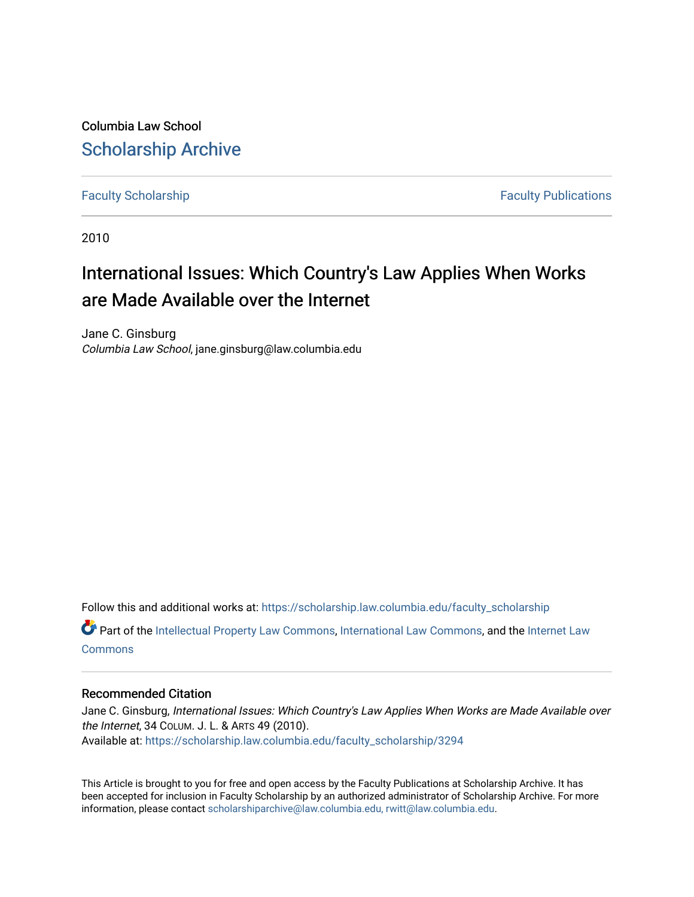Columbia Law School [Scholarship Archive](https://scholarship.law.columbia.edu/) 

[Faculty Scholarship](https://scholarship.law.columbia.edu/faculty_scholarship) **Faculty Scholarship Faculty Publications** 

2010

## International Issues: Which Country's Law Applies When Works are Made Available over the Internet

Jane C. Ginsburg Columbia Law School, jane.ginsburg@law.columbia.edu

Follow this and additional works at: [https://scholarship.law.columbia.edu/faculty\\_scholarship](https://scholarship.law.columbia.edu/faculty_scholarship?utm_source=scholarship.law.columbia.edu%2Ffaculty_scholarship%2F3294&utm_medium=PDF&utm_campaign=PDFCoverPages) **C** Part of the [Intellectual Property Law Commons,](http://network.bepress.com/hgg/discipline/896?utm_source=scholarship.law.columbia.edu%2Ffaculty_scholarship%2F3294&utm_medium=PDF&utm_campaign=PDFCoverPages) [International Law Commons,](http://network.bepress.com/hgg/discipline/609?utm_source=scholarship.law.columbia.edu%2Ffaculty_scholarship%2F3294&utm_medium=PDF&utm_campaign=PDFCoverPages) and the Internet Law **[Commons](http://network.bepress.com/hgg/discipline/892?utm_source=scholarship.law.columbia.edu%2Ffaculty_scholarship%2F3294&utm_medium=PDF&utm_campaign=PDFCoverPages)** 

## Recommended Citation

Jane C. Ginsburg, International Issues: Which Country's Law Applies When Works are Made Available over the Internet, 34 COLUM. J. L. & ARTS 49 (2010). Available at: [https://scholarship.law.columbia.edu/faculty\\_scholarship/3294](https://scholarship.law.columbia.edu/faculty_scholarship/3294?utm_source=scholarship.law.columbia.edu%2Ffaculty_scholarship%2F3294&utm_medium=PDF&utm_campaign=PDFCoverPages)

This Article is brought to you for free and open access by the Faculty Publications at Scholarship Archive. It has been accepted for inclusion in Faculty Scholarship by an authorized administrator of Scholarship Archive. For more information, please contact [scholarshiparchive@law.columbia.edu, rwitt@law.columbia.edu](mailto:scholarshiparchive@law.columbia.edu,%20rwitt@law.columbia.edu).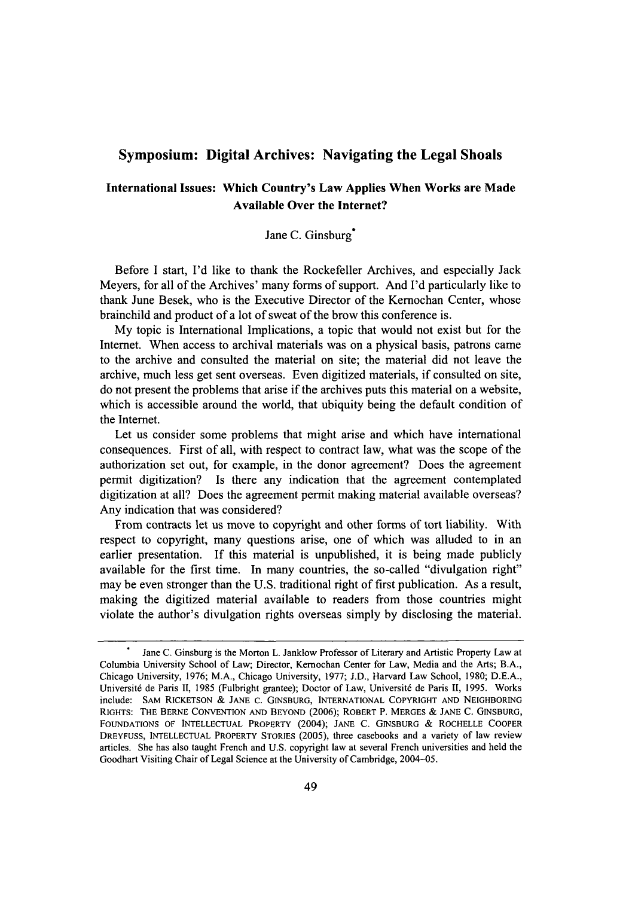## **Symposium: Digital Archives: Navigating the Legal Shoals**

## **International Issues: Which Country's Law Applies When Works are Made Available Over the Internet?**

Jane C. Ginsburg<sup>\*</sup>

Before I start, I'd like to thank the Rockefeller Archives, and especially Jack Meyers, for all of the Archives' many forms of support. And I'd particularly like to thank June Besek, who is the Executive Director of the Kemochan Center, whose brainchild and product of a lot of sweat of the brow this conference is.

My topic is International Implications, a topic that would not exist but for the Internet. When access to archival materials was on a physical basis, patrons came to the archive and consulted the material on site; the material did not leave the archive, much less get sent overseas. Even digitized materials, if consulted on site, do not present the problems that arise if the archives puts this material on a website, which is accessible around the world, that ubiquity being the default condition of the Internet.

Let us consider some problems that might arise and which have international consequences. First of all, with respect to contract law, what was the scope of the authorization set out, for example, in the donor agreement? Does the agreement permit digitization? Is there any indication that the agreement contemplated digitization at all? Does the agreement permit making material available overseas? Any indication that was considered?

From contracts let us move to copyright and other forms of tort liability. With respect to copyright, many questions arise, one of which was alluded to in an earlier presentation. If this material is unpublished, it is being made publicly available for the first time. In many countries, the so-called "divulgation right" may be even stronger than the U.S. traditional right of first publication. As a result, making the digitized material available to readers from those countries might violate the author's divulgation rights overseas simply by disclosing the material.

Jane C. Ginsburg is the Morton L. Janklow Professor of Literary and Artistic Property Law at Columbia University School of Law; Director, Kemochan Center for Law, Media and the Arts; B.A., Chicago University, 1976; M.A., Chicago University, 1977; J.D., Harvard Law School, 1980; D.E.A., Université de Paris II, 1985 (Fulbright grantee); Doctor of Law, Université de Paris II, 1995. Works include: SAM RICKETSON & JANE c. GINSBURG, INTERNATIONAL COPYRIGHT AND NEIGHBORING RIGHTS: THE BERNE CONVENTION AND BEYOND (2006); ROBERT P. MERGES & JANE C. GINSBURG, FOUNDATIONS OF INTELLECTUAL PROPERTY (2004); JANE C. GINSBURG & ROCHELLE COOPER DREYFUSS, INTELLECTUAL PROPERTY STORIES (2005), three casebooks and a variety of law review articles. She has also taught French and U.S. copyright law at several French universities and held the Goodhart Visiting Chair of Legal Science at the University of Cambridge, 2004-05.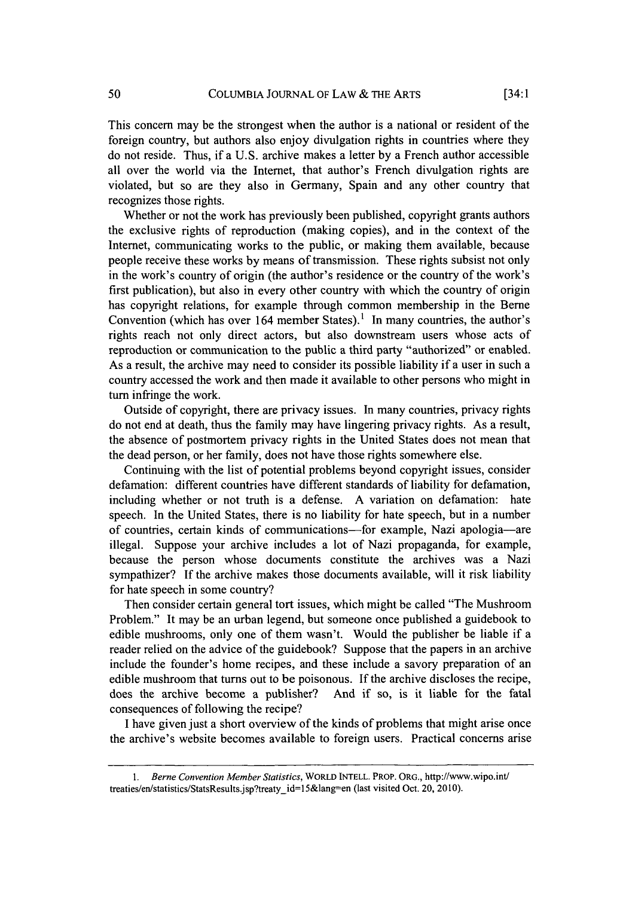This concern may be the strongest when the author is a national or resident of the foreign country, but authors also enjoy divulgation rights in countries where they do not reside. Thus, if a U.S. archive makes a letter by a French author accessible all over the world via the Internet, that author's French divulgation rights are violated, but so are they also in Germany, Spain and any other country that recognizes those rights.

Whether or not the work has previously been published, copyright grants authors the exclusive rights of reproduction (making copies), and in the context of the Internet, communicating works to the public, or making them available, because people receive these works by means of transmission. These rights subsist not only in the work's country of origin (the author's residence or the country of the work's first publication), but also in every other country with which the country of origin has copyright relations, for example through common membership in the Berne Convention (which has over 164 member States).' In many countries, the author's rights reach not only direct actors, but also downstream users whose acts of reproduction or communication to the public a third party "authorized" or enabled. As a result, the archive may need to consider its possible liability if a user in such a country accessed the work and then made it available to other persons who might in turn infringe the work.

Outside of copyright, there are privacy issues. In many countries, privacy rights do not end at death, thus the family may have lingering privacy rights. As a result, the absence of postmortem privacy rights in the United States does not mean that the dead person, or her family, does not have those rights somewhere else.

Continuing with the list of potential problems beyond copyright issues, consider defamation: different countries have different standards of liability for defamation, including whether or not truth is a defense. A variation on defamation: hate speech. In the United States, there is no liability for hate speech, but in a number of countries, certain kinds of communications-for example, Nazi apologia-are illegal. Suppose your archive includes a lot of Nazi propaganda, for example, because the person whose documents constitute the archives was a Nazi sympathizer? If the archive makes those documents available, will it risk liability for hate speech in some country?

Then consider certain general tort issues, which might be called "The Mushroom Problem." It may be an urban legend, but someone once published a guidebook to edible mushrooms, only one of them wasn't. Would the publisher be liable if a reader relied on the advice of the guidebook? Suppose that the papers in an archive include the founder's home recipes, and these include a savory preparation of an edible mushroom that turns out to be poisonous. If the archive discloses the recipe, does the archive become a publisher? And if so, is it liable for the fatal consequences of following the recipe?

I have given just a short overview of the kinds of problems that might arise once the archive's website becomes available to foreign users. Practical concerns arise

*<sup>1.</sup>* Berne *Convention Member Statistics,* WORLD **INTELL.** PROP. ORG., http://www.wipo.int/ treaties/en/statistics/StatsResults.jsp?treaty\_id=15&lang-en (last visited Oct. 20, 2010).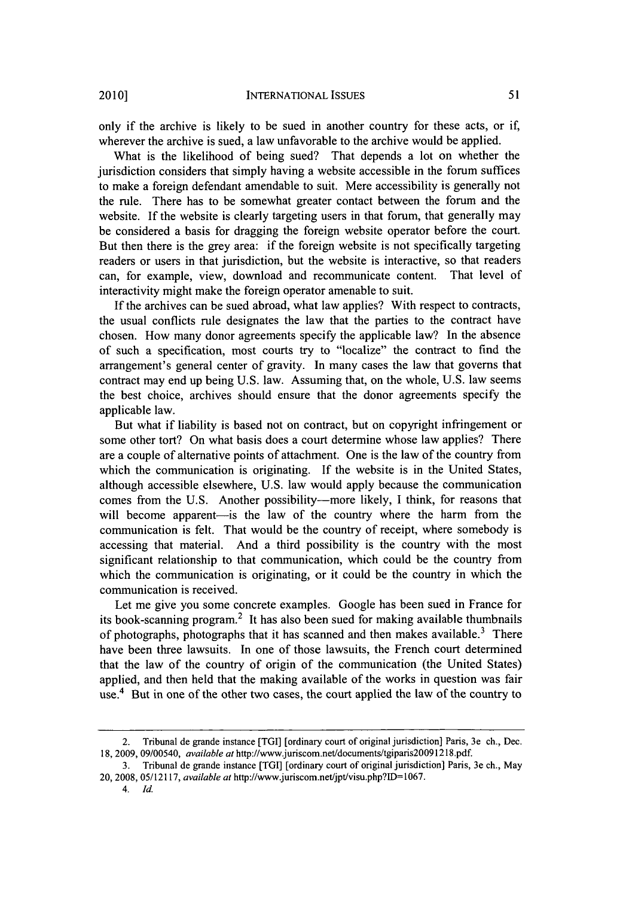only if the archive is likely to be sued in another country for these acts, or if, wherever the archive is sued, a law unfavorable to the archive would be applied.

What is the likelihood of being sued? That depends a lot on whether the jurisdiction considers that simply having a website accessible in the forum suffices to make a foreign defendant amendable to suit. Mere accessibility is generally not the rule. There has to be somewhat greater contact between the forum and the website. If the website is clearly targeting users in that forum, that generally may be considered a basis for dragging the foreign website operator before the court. But then there is the grey area: if the foreign website is not specifically targeting readers or users in that jurisdiction, but the website is interactive, so that readers can, for example, view, download and recommunicate content. That level of interactivity might make the foreign operator amenable to suit.

If the archives can be sued abroad, what law applies? With respect to contracts, the usual conflicts rule designates the law that the parties to the contract have chosen. How many donor agreements specify the applicable law? In the absence of such a specification, most courts try to "localize" the contract to find the arrangement's general center of gravity. In many cases the law that governs that contract may end up being U.S. law. Assuming that, on the whole, U.S. law seems the best choice, archives should ensure that the donor agreements specify the applicable law.

But what if liability is based not on contract, but on copyright infringement or some other tort? On what basis does a court determine whose law applies? There are a couple of alternative points of attachment. One is the law of the country from which the communication is originating. If the website is in the United States, although accessible elsewhere, U.S. law would apply because the communication comes from the U.S. Another possibility-more likely, I think, for reasons that will become apparent-is the law of the country where the harm from the communication is felt. That would be the country of receipt, where somebody is accessing that material. And a third possibility is the country with the most significant relationship to that communication, which could be the country from which the communication is originating, or it could be the country in which the communication is received.

Let me give you some concrete examples. Google has been sued in France for its book-scanning program.<sup>2</sup> It has also been sued for making available thumbnails of photographs, photographs that it has scanned and then makes available.<sup>3</sup> There have been three lawsuits. In one of those lawsuits, the French court determined that the law of the country of origin of the communication (the United States) applied, and then held that the making available of the works in question was fair use.<sup>4</sup> But in one of the other two cases, the court applied the law of the country to

<sup>2.</sup> Tribunal de grande instance [TGI] [ordinary court of original jurisdiction] Paris, 3e ch., Dec. 18, 2009, 09/00540, *available at* http://www.juriscom.net/documents/tgiparis20091218.pdf.

<sup>3.</sup> Tribunal de grande instance [TGI] [ordinary court of original jurisdiction] Paris, 3e ch., May 20, 2008, 05/12117, *available at* http://www.juriscom.net/jpt/visu.php?ID=1067.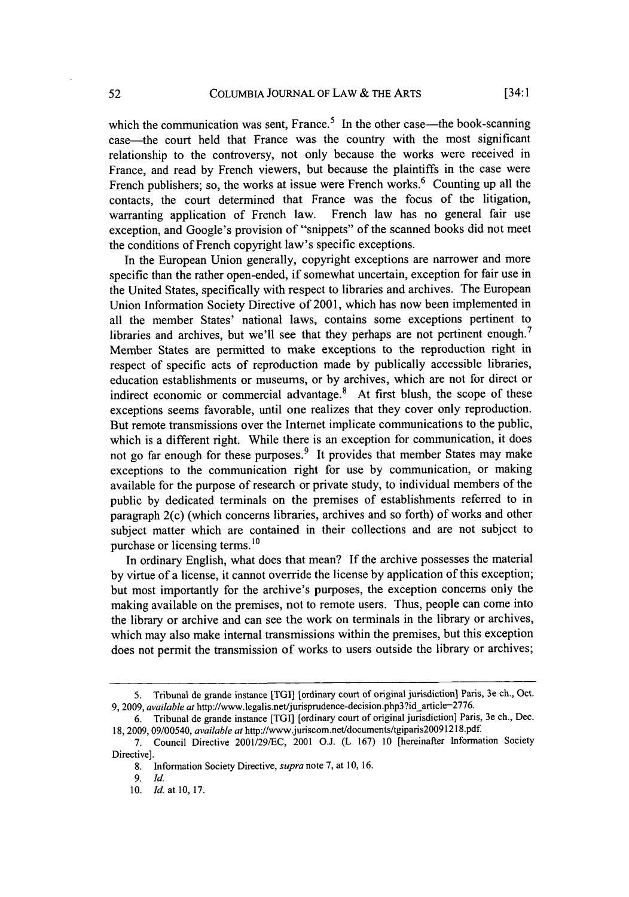which the communication was sent, France.<sup>5</sup> In the other case—the book-scanning case-the court held that France was the country with the most significant relationship to the controversy, not only because the works were received in France, and read by French viewers, but because the plaintiffs in the case were French publishers; so, the works at issue were French works.<sup>6</sup> Counting up all the contacts, the court determined that France was the focus of the litigation, warranting application of French law. French law has no general fair use exception, and Google's provision of "snippets" of the scanned books did not meet the conditions of French copyright law's specific exceptions.

In the European Union generally, copyright exceptions are narrower and more specific than the rather open-ended, if somewhat uncertain, exception for fair use in the United States, specifically with respect to libraries and archives. The European Union Information Society Directive of 2001, which has now been implemented in all the member States' national laws, contains some exceptions pertinent to libraries and archives, but we'll see that they perhaps are not pertinent enough.<sup>7</sup> Member States are permitted to make exceptions to the reproduction right in respect of specific acts of reproduction made by publically accessible libraries, education establishments or museums, or by archives, which are not for direct or indirect economic or commercial advantage.<sup>8</sup> At first blush, the scope of these exceptions seems favorable, until one realizes that they cover only reproduction. But remote transmissions over the Internet implicate communications to the public, which is a different right. While there is an exception for communication, it does not go far enough for these purposes.<sup>9</sup> It provides that member States may make exceptions to the communication right for use by communication, or making available for the purpose of research or private study, to individual members of the public by dedicated terminals on the premises of establishments referred to in paragraph 2(c) (which concerns libraries, archives and so forth) of works and other subject matter which are contained in their collections and are not subject to purchase or licensing terms. **1 0**

In ordinary English, what does that mean? If the archive possesses the material by virtue of a license, it cannot override the license by application of this exception; but most importantly for the archive's purposes, the exception concerns only the making available on the premises, not to remote users. Thus, people can come into the library or archive and can see the work on terminals in the library or archives, which may also make internal transmissions within the premises, but this exception does not permit the transmission of works to users outside the library or archives;

**9.** *Id.*

<sup>5.</sup> Tribunal de grande instance **[TGI]** [ordinary court of original jurisdiction] Paris, 3e ch., Oct. 9, 2009, *available at* http://www.legalis.net/jurisprudence-decision.php3?id\_article=2776.

<sup>6.</sup> Tribunal de grande instance [TGI] [ordinary court of original jurisdiction] Paris, 3e ch., Dec. 18, 2009, 09/00540, *available at* http://www.juriscom.net/documents/tgiparis20091218.pdf.

<sup>7.</sup> Council Directive 2001/29/EC, 2001 O.J. (L 167) 10 [hereinafter Information Society Directive].

<sup>8.</sup> Information Society Directive, *supra* note 7, at 10, 16.

<sup>10.</sup> *Id.* at 10, 17.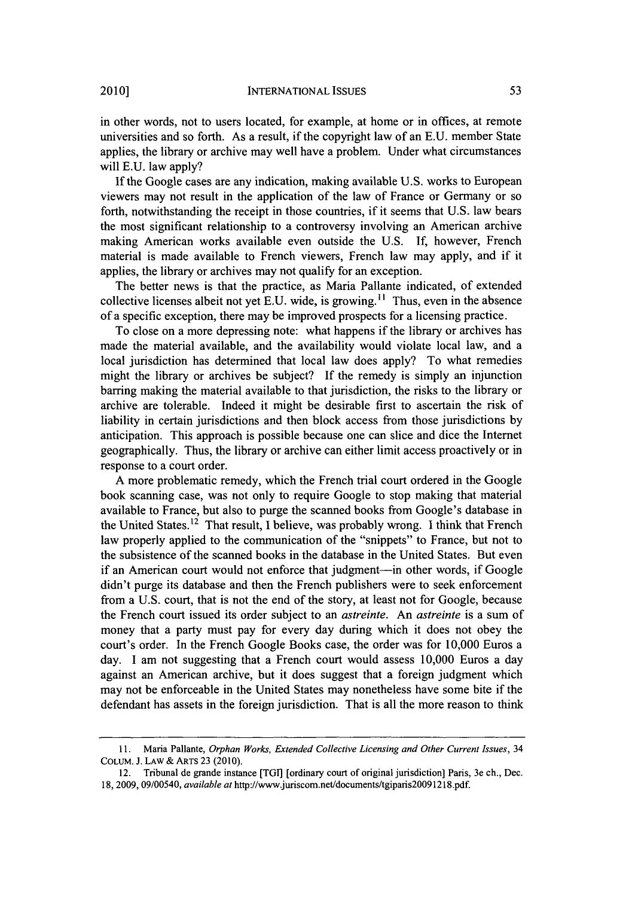in other words, not to users located, for example, at home or in offices, at remote universities and so forth. As a result, if the copyright law of an E.U. member State applies, the library or archive may well have a problem. Under what circumstances will E.U. law apply?

If the Google cases are any indication, making available U.S. works to European viewers may not result in the application of the law of France or Germany or so forth, notwithstanding the receipt in those countries, if it seems that U.S. law bears the most significant relationship to a controversy involving an American archive making American works available even outside the U.S. If, however, French material is made available to French viewers, French law may apply, and if it applies, the library or archives may not qualify for an exception.

The better news is that the practice, as Maria Pallante indicated, of extended collective licenses albeit not yet E.U. wide, is growing. **"** Thus, even in the absence of a specific exception, there may be improved prospects for a licensing practice.

To close on a more depressing note: what happens if the library or archives has made the material available, and the availability would violate local law, and a local jurisdiction has determined that local law does apply? To what remedies might the library or archives be subject? If the remedy is simply an injunction barring making the material available to that jurisdiction, the risks to the library or archive are tolerable. Indeed it might be desirable first to ascertain the risk of liability in certain jurisdictions and then block access from those jurisdictions by anticipation. This approach is possible because one can slice and dice the Internet geographically. Thus, the library or archive can either limit access proactively or in response to a court order.

A more problematic remedy, which the French trial court ordered in the Google book scanning case, was not only to require Google to stop making that material available to France, but also to purge the scanned books from Google's database in the United States.<sup>12</sup> That result, I believe, was probably wrong. I think that French law properly applied to the communication of the "snippets" to France, but not to the subsistence of the scanned books in the database in the United States. But even if an American court would not enforce that judgment-in other words, if Google didn't purge its database and then the French publishers were to seek enforcement from a U.S. court, that is not the end of the story, at least not for Google, because the French court issued its order subject to an *astreinte.* An *astreinte* is a sum of money that a party must pay for every day during which it does not obey the court's order. In the French Google Books case, the order was for 10,000 Euros a day. I am not suggesting that a French court would assess 10,000 Euros a day against an American archive, but it does suggest that a foreign judgment which may not be enforceable in the United States may nonetheless have some bite if the defendant has assets in the foreign jurisdiction. That is all the more reason to think

**<sup>11.</sup>** Maria Pallante, *Orphan Works, Extended Collective Licensing and Other Current Issues,* 34 COLUM. J. LAW & ARTs 23 (2010).

<sup>12.</sup> Tribunal de grande instance [TGI] [ordinary court of original jurisdiction] Paris, 3e ch., Dec. 18, 2009, 09/00540, *available at* http://www.juriscom.net/documents/tgiparis20091218.pdf.